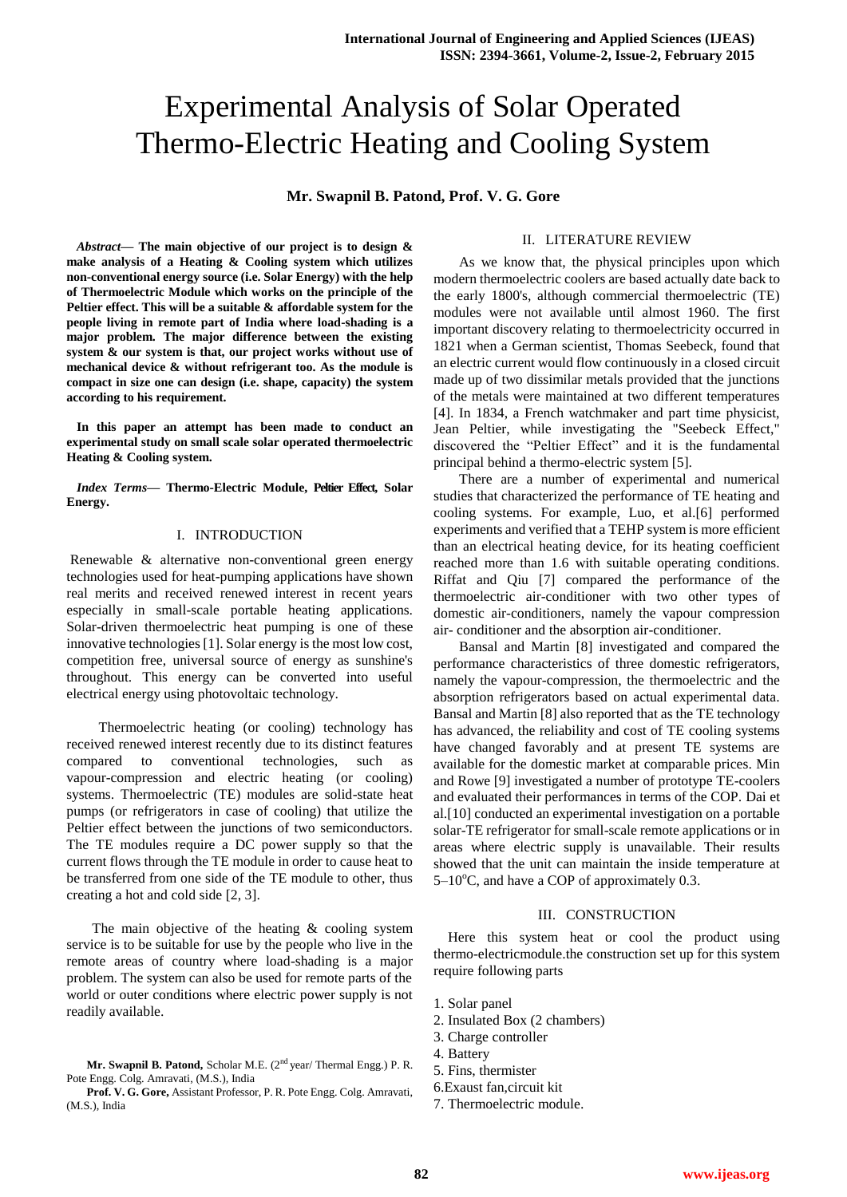# Experimental Analysis of Solar Operated Thermo-Electric Heating and Cooling System

**Mr. Swapnil B. Patond, Prof. V. G. Gore**

*Abstract***— The main objective of our project is to design & make analysis of a Heating & Cooling system which utilizes non-conventional energy source (i.e. Solar Energy) with the help of Thermoelectric Module which works on the principle of the Peltier effect. This will be a suitable & affordable system for the people living in remote part of India where load-shading is a major problem. The major difference between the existing system & our system is that, our project works without use of mechanical device & without refrigerant too. As the module is compact in size one can design (i.e. shape, capacity) the system according to his requirement.** 

**In this paper an attempt has been made to conduct an experimental study on small scale solar operated thermoelectric Heating & Cooling system.**

*Index Terms***— Thermo-Electric Module, Peltier Effect, Solar Energy.**

## I. INTRODUCTION

Renewable & alternative non-conventional green energy technologies used for heat-pumping applications have shown real merits and received renewed interest in recent years especially in small-scale portable heating applications. Solar-driven thermoelectric heat pumping is one of these innovative technologies [1]. Solar energy is the most low cost, competition free, universal source of energy as sunshine's throughout. This energy can be converted into useful electrical energy using photovoltaic technology.

Thermoelectric heating (or cooling) technology has received renewed interest recently due to its distinct features compared to conventional technologies, such as vapour-compression and electric heating (or cooling) systems. Thermoelectric (TE) modules are solid-state heat pumps (or refrigerators in case of cooling) that utilize the Peltier effect between the junctions of two semiconductors. The TE modules require a DC power supply so that the current flows through the TE module in order to cause heat to be transferred from one side of the TE module to other, thus creating a hot and cold side [2, 3].

The main objective of the heating  $&$  cooling system service is to be suitable for use by the people who live in the remote areas of country where load-shading is a major problem. The system can also be used for remote parts of the world or outer conditions where electric power supply is not readily available.

## II. LITERATURE REVIEW

As we know that, the physical principles upon which modern thermoelectric coolers are based actually date back to the early 1800's, although commercial thermoelectric (TE) modules were not available until almost 1960. The first important discovery relating to thermoelectricity occurred in 1821 when a German scientist, Thomas Seebeck, found that an electric current would flow continuously in a closed circuit made up of two dissimilar metals provided that the junctions of the metals were maintained at two different temperatures [4]. In 1834, a French watchmaker and part time physicist, Jean Peltier, while investigating the "Seebeck Effect," discovered the "Peltier Effect" and it is the fundamental principal behind a thermo-electric system [5].

There are a number of experimental and numerical studies that characterized the performance of TE heating and cooling systems. For example, Luo, et al.[6] performed experiments and verified that a TEHP system is more efficient than an electrical heating device, for its heating coefficient reached more than 1.6 with suitable operating conditions. Riffat and Qiu [7] compared the performance of the thermoelectric air-conditioner with two other types of domestic air-conditioners, namely the vapour compression air- conditioner and the absorption air-conditioner.

Bansal and Martin [8] investigated and compared the performance characteristics of three domestic refrigerators, namely the vapour-compression, the thermoelectric and the absorption refrigerators based on actual experimental data. Bansal and Martin [8] also reported that as the TE technology has advanced, the reliability and cost of TE cooling systems have changed favorably and at present TE systems are available for the domestic market at comparable prices. Min and Rowe [9] investigated a number of prototype TE-coolers and evaluated their performances in terms of the COP. Dai et al.[10] conducted an experimental investigation on a portable solar-TE refrigerator for small-scale remote applications or in areas where electric supply is unavailable. Their results showed that the unit can maintain the inside temperature at  $5-10^{\circ}$ C, and have a COP of approximately 0.3.

#### III. CONSTRUCTION

 Here this system heat or cool the product using thermo-electricmodule.the construction set up for this system require following parts

- 1. Solar panel
- 2. Insulated Box (2 chambers)
- 3. Charge controller
- 4. Battery
- 5. Fins, thermister
- 6.Exaust fan,circuit kit
- 7. Thermoelectric module.

Mr. Swapnil B. Patond, Scholar M.E. (2<sup>nd</sup> year/ Thermal Engg.) P. R. Pote Engg. Colg. Amravati, (M.S.), India

**Prof. V. G. Gore,** Assistant Professor, P. R. Pote Engg. Colg. Amravati, (M.S.), India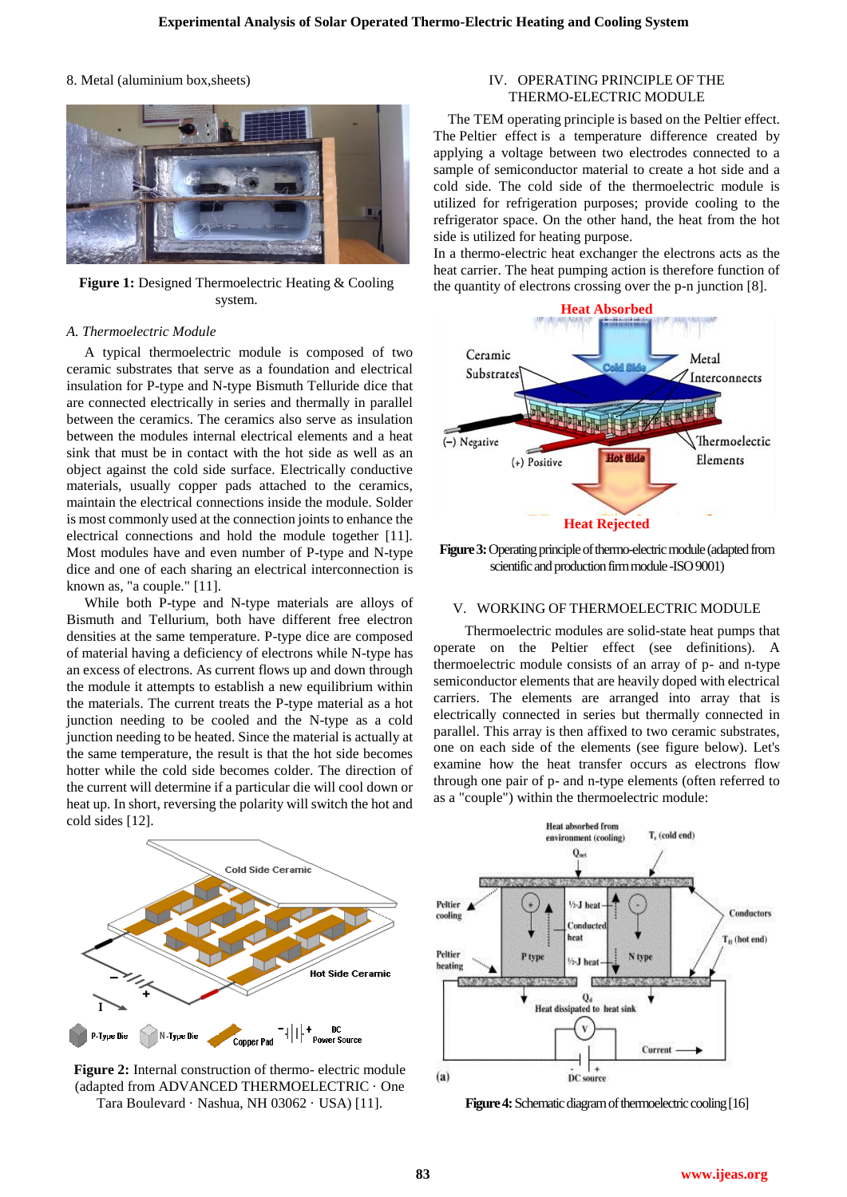#### 8. Metal (aluminium box,sheets)



**Figure 1:** Designed Thermoelectric Heating & Cooling system.

#### *A. Thermoelectric Module*

 A typical thermoelectric module is composed of two ceramic substrates that serve as a foundation and electrical insulation for P-type and N-type Bismuth Telluride dice that are connected electrically in series and thermally in parallel between the ceramics. The ceramics also serve as insulation between the modules internal electrical elements and a heat sink that must be in contact with the hot side as well as an object against the cold side surface. Electrically conductive materials, usually copper pads attached to the ceramics, maintain the electrical connections inside the module. Solder is most commonly used at the connection joints to enhance the electrical connections and hold the module together [11]. Most modules have and even number of P-type and N-type dice and one of each sharing an electrical interconnection is known as, "a couple." [11].

 While both P-type and N-type materials are alloys of Bismuth and Tellurium, both have different free electron densities at the same temperature. P-type dice are composed of material having a deficiency of electrons while N-type has an excess of electrons. As current flows up and down through the module it attempts to establish a new equilibrium within the materials. The current treats the P-type material as a hot junction needing to be cooled and the N-type as a cold junction needing to be heated. Since the material is actually at the same temperature, the result is that the hot side becomes hotter while the cold side becomes colder. The direction of the current will determine if a particular die will cool down or heat up. In short, reversing the polarity will switch the hot and cold sides [12].



**Figure 2:** Internal construction of thermo- electric module (adapted from ADVANCED THERMOELECTRIC · One Tara Boulevard · Nashua, NH 03062 · USA) [11].

## IV. OPERATING PRINCIPLE OF THE THERMO-ELECTRIC MODULE

 The TEM operating principle is based on the Peltier effect. The Peltier effect is a temperature difference created by applying a voltage between two electrodes connected to a sample of semiconductor material to create a hot side and a cold side. The cold side of the thermoelectric module is utilized for refrigeration purposes; provide cooling to the refrigerator space. On the other hand, the heat from the hot side is utilized for heating purpose.

In a thermo-electric heat exchanger the electrons acts as the heat carrier. The heat pumping action is therefore function of the quantity of electrons crossing over the p-n junction [8].



**Figure 3:**Operating principle of thermo-electric module (adapted from scientific and production firm module -ISO 9001)

# V. WORKING OF THERMOELECTRIC MODULE

Thermoelectric modules are solid-state heat pumps that operate on the Peltier effect (see definitions). A thermoelectric module consists of an array of p- and n-type semiconductor elements that are heavily doped with electrical carriers. The elements are arranged into array that is electrically connected in series but thermally connected in parallel. This array is then affixed to two ceramic substrates, one on each side of the elements (see figure below). Let's examine how the heat transfer occurs as electrons flow through one pair of p- and n-type elements (often referred to as a "couple") within the thermoelectric module:



**Figure 4:** Schematic diagram of thermoelectric cooling [16]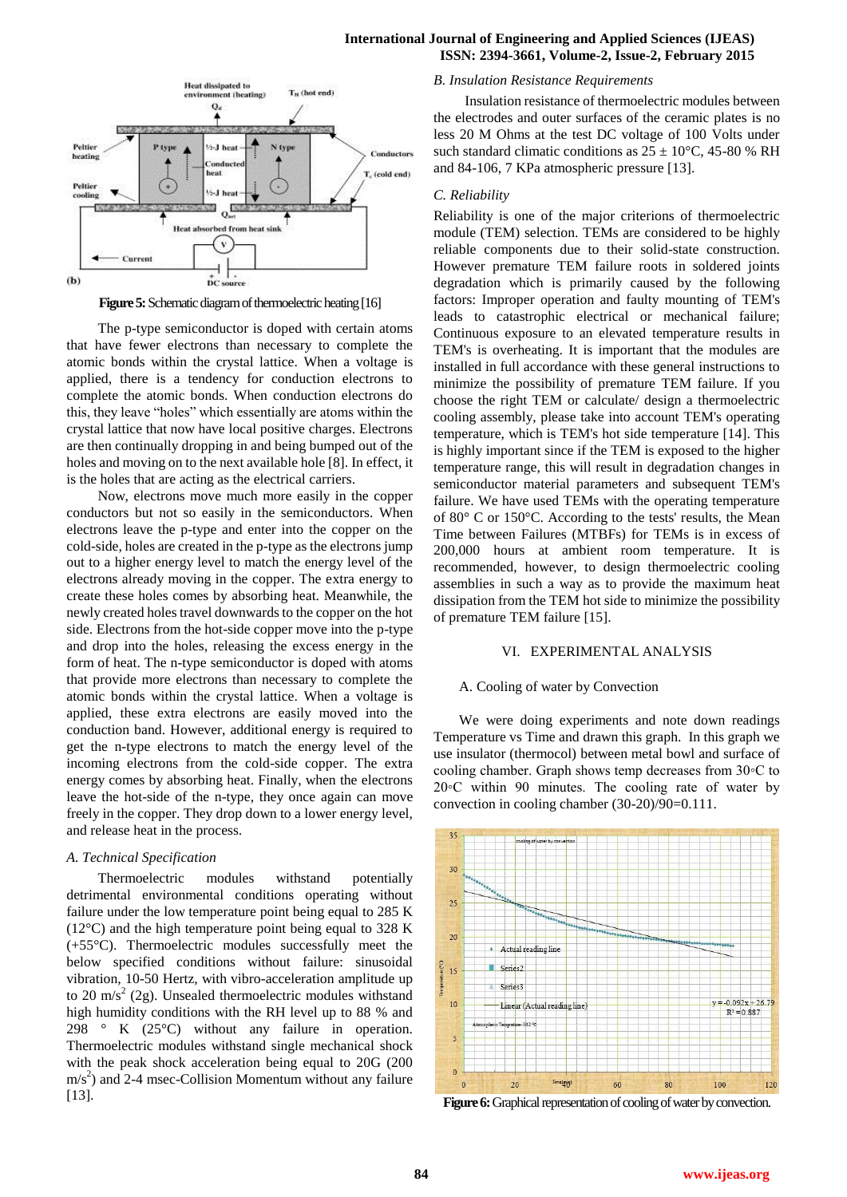### **International Journal of Engineering and Applied Sciences (IJEAS) ISSN: 2394-3661, Volume-2, Issue-2, February 2015**



**Figure 5:** Schematic diagram of thermoelectric heating [16]

The p-type semiconductor is doped with certain atoms that have fewer electrons than necessary to complete the atomic bonds within the crystal lattice. When a voltage is applied, there is a tendency for conduction electrons to complete the atomic bonds. When conduction electrons do this, they leave "holes" which essentially are atoms within the crystal lattice that now have local positive charges. Electrons are then continually dropping in and being bumped out of the holes and moving on to the next available hole [8]. In effect, it is the holes that are acting as the electrical carriers.

Now, electrons move much more easily in the copper conductors but not so easily in the semiconductors. When electrons leave the p-type and enter into the copper on the cold-side, holes are created in the p-type as the electrons jump out to a higher energy level to match the energy level of the electrons already moving in the copper. The extra energy to create these holes comes by absorbing heat. Meanwhile, the newly created holes travel downwards to the copper on the hot side. Electrons from the hot-side copper move into the p-type and drop into the holes, releasing the excess energy in the form of heat. The n-type semiconductor is doped with atoms that provide more electrons than necessary to complete the atomic bonds within the crystal lattice. When a voltage is applied, these extra electrons are easily moved into the conduction band. However, additional energy is required to get the n-type electrons to match the energy level of the incoming electrons from the cold-side copper. The extra energy comes by absorbing heat. Finally, when the electrons leave the hot-side of the n-type, they once again can move freely in the copper. They drop down to a lower energy level, and release heat in the process.

#### *A. Technical Specification*

Thermoelectric modules withstand potentially detrimental environmental conditions operating without failure under the low temperature point being equal to 285 K  $(12^{\circ}$ C) and the high temperature point being equal to 328 K (+55°C). Thermoelectric modules successfully meet the below specified conditions without failure: sinusoidal vibration, 10-50 Hertz, with vibro-acceleration amplitude up to 20 m/s<sup>2</sup> (2g). Unsealed thermoelectric modules withstand high humidity conditions with the RH level up to 88 % and 298 ° K (25°C) without any failure in operation. Thermoelectric modules withstand single mechanical shock with the peak shock acceleration being equal to 20G (200  $m/s<sup>2</sup>$ ) and 2-4 msec-Collision Momentum without any failure [13].

#### *B. Insulation Resistance Requirements*

Insulation resistance of thermoelectric modules between the electrodes and outer surfaces of the ceramic plates is no less 20 M Ohms at the test DC voltage of 100 Volts under such standard climatic conditions as  $25 \pm 10^{\circ}$ C, 45-80 % RH and 84-106, 7 KPa atmospheric pressure [13].

#### *C. Reliability*

Reliability is one of the major criterions of thermoelectric module (TEM) selection. TEMs are considered to be highly reliable components due to their solid-state construction. However premature TEM failure roots in soldered joints degradation which is primarily caused by the following factors: Improper operation and faulty mounting of TEM's leads to catastrophic electrical or mechanical failure; Continuous exposure to an elevated temperature results in TEM's is overheating. It is important that the modules are installed in full accordance with these general instructions to minimize the possibility of premature TEM failure. If you choose the right TEM or calculate/ design a thermoelectric cooling assembly, please take into account TEM's operating temperature, which is TEM's hot side temperature [14]. This is highly important since if the TEM is exposed to the higher temperature range, this will result in degradation changes in semiconductor material parameters and subsequent TEM's failure. We have used TEMs with the operating temperature of 80° C or 150°C. According to the tests' results, the Mean Time between Failures (MTBFs) for TEMs is in excess of 200,000 hours at ambient room temperature. It is recommended, however, to design thermoelectric cooling assemblies in such a way as to provide the maximum heat dissipation from the TEM hot side to minimize the possibility of premature TEM failure [15].

#### VI. EXPERIMENTAL ANALYSIS

#### A. Cooling of water by Convection

We were doing experiments and note down readings Temperature vs Time and drawn this graph. In this graph we use insulator (thermocol) between metal bowl and surface of cooling chamber. Graph shows temp decreases from 30◦C to 20◦C within 90 minutes. The cooling rate of water by convection in cooling chamber (30-20)/90=0.111.



**Figure 6:** Graphical representation of cooling of water by convection.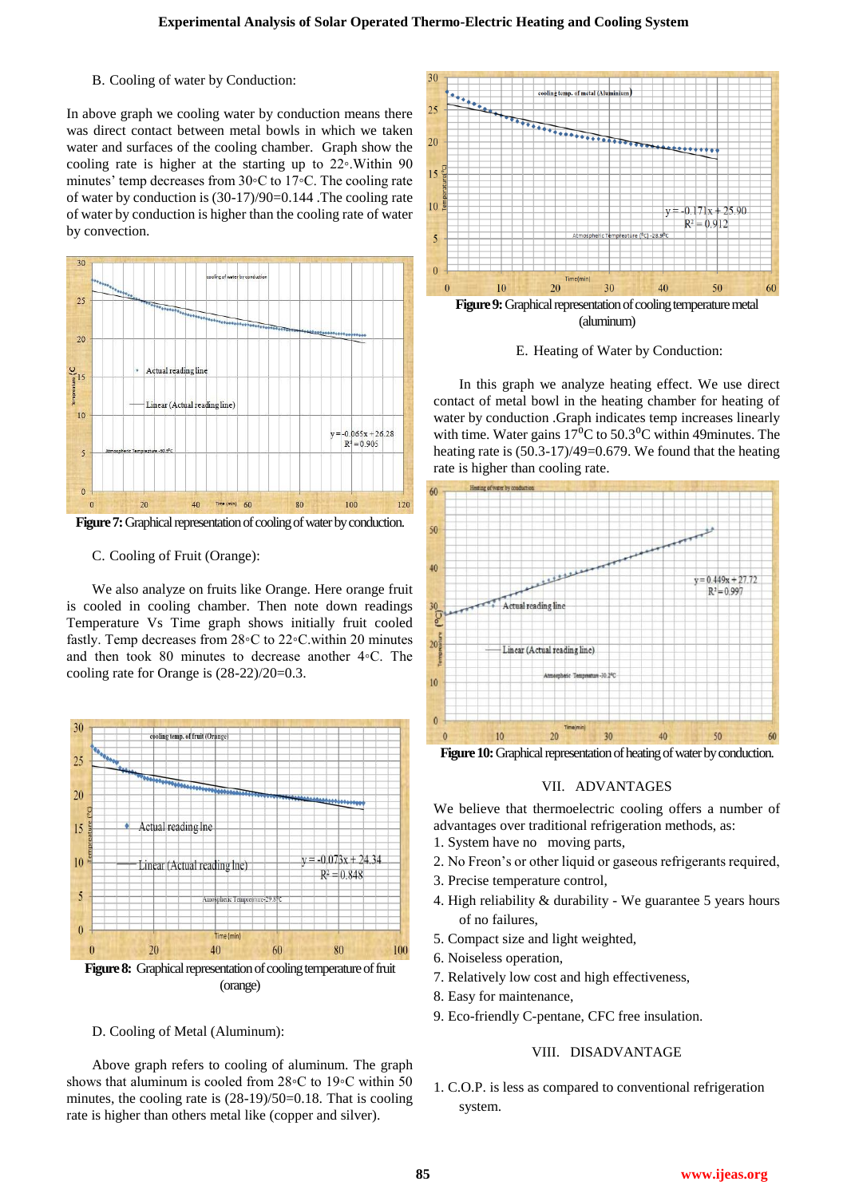B. Cooling of water by Conduction:

In above graph we cooling water by conduction means there was direct contact between metal bowls in which we taken water and surfaces of the cooling chamber. Graph show the cooling rate is higher at the starting up to 22◦.Within 90 minutes' temp decreases from 30◦C to 17◦C. The cooling rate of water by conduction is (30-17)/90=0.144 .The cooling rate of water by conduction is higher than the cooling rate of water by convection.



**Figure 7:** Graphical representation of cooling of water by conduction.

## C. Cooling of Fruit (Orange):

We also analyze on fruits like Orange. Here orange fruit is cooled in cooling chamber. Then note down readings Temperature Vs Time graph shows initially fruit cooled fastly. Temp decreases from 28◦C to 22◦C.within 20 minutes and then took 80 minutes to decrease another 4◦C. The cooling rate for Orange is (28-22)/20=0.3.



D. Cooling of Metal (Aluminum):

Above graph refers to cooling of aluminum. The graph shows that aluminum is cooled from 28◦C to 19◦C within 50 minutes, the cooling rate is (28-19)/50=0.18. That is cooling rate is higher than others metal like (copper and silver).



E. Heating of Water by Conduction:

In this graph we analyze heating effect. We use direct contact of metal bowl in the heating chamber for heating of water by conduction .Graph indicates temp increases linearly with time. Water gains  $17^{\circ}$ C to  $50.3^{\circ}$ C within 49 minutes. The heating rate is (50.3-17)/49=0.679. We found that the heating rate is higher than cooling rate.



**Figure 10:** Graphical representation of heating of water by conduction.

## VII. ADVANTAGES

We believe that thermoelectric cooling offers a number of advantages over traditional refrigeration methods, as:

- 1. System have no moving parts,
- 2. No Freon's or other liquid or gaseous refrigerants required,
- 3. Precise temperature control,
- 4. High reliability & durability We guarantee 5 years hours of no failures,
- 5. Compact size and light weighted,
- 6. Noiseless operation,
- 7. Relatively low cost and high effectiveness,
- 8. Easy for maintenance,
- 9. Eco-friendly C-pentane, CFC free insulation.

## VIII. DISADVANTAGE

1. C.O.P. is less as compared to conventional refrigeration system.